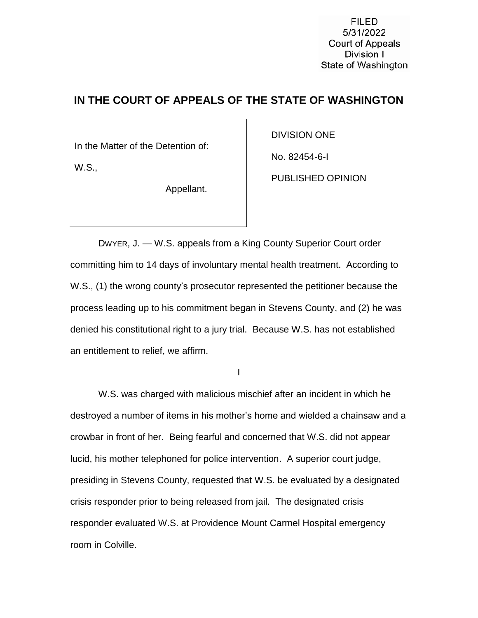**FILED** 5/31/2022 **Court of Appeals** Division I State of Washington

## **IN THE COURT OF APPEALS OF THE STATE OF WASHINGTON**

In the Matter of the Detention of:

W.S.,

Appellant.

DIVISION ONE

No. 82454-6-I

PUBLISHED OPINION

DWYER, J. — W.S. appeals from a King County Superior Court order committing him to 14 days of involuntary mental health treatment. According to W.S., (1) the wrong county's prosecutor represented the petitioner because the process leading up to his commitment began in Stevens County, and (2) he was denied his constitutional right to a jury trial. Because W.S. has not established an entitlement to relief, we affirm.

I

W.S. was charged with malicious mischief after an incident in which he destroyed a number of items in his mother's home and wielded a chainsaw and a crowbar in front of her. Being fearful and concerned that W.S. did not appear lucid, his mother telephoned for police intervention. A superior court judge, presiding in Stevens County, requested that W.S. be evaluated by a designated crisis responder prior to being released from jail. The designated crisis responder evaluated W.S. at Providence Mount Carmel Hospital emergency room in Colville.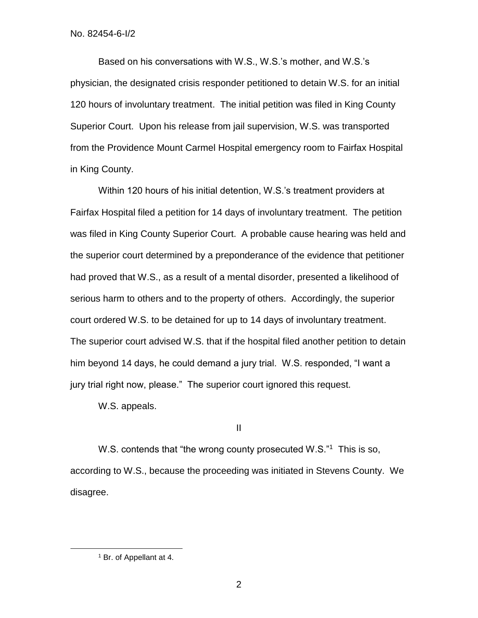Based on his conversations with W.S., W.S.'s mother, and W.S.'s physician, the designated crisis responder petitioned to detain W.S. for an initial 120 hours of involuntary treatment. The initial petition was filed in King County Superior Court. Upon his release from jail supervision, W.S. was transported from the Providence Mount Carmel Hospital emergency room to Fairfax Hospital in King County.

Within 120 hours of his initial detention, W.S.'s treatment providers at Fairfax Hospital filed a petition for 14 days of involuntary treatment. The petition was filed in King County Superior Court. A probable cause hearing was held and the superior court determined by a preponderance of the evidence that petitioner had proved that W.S., as a result of a mental disorder, presented a likelihood of serious harm to others and to the property of others. Accordingly, the superior court ordered W.S. to be detained for up to 14 days of involuntary treatment. The superior court advised W.S. that if the hospital filed another petition to detain him beyond 14 days, he could demand a jury trial. W.S. responded, "I want a jury trial right now, please." The superior court ignored this request.

W.S. appeals.

II

W.S. contends that "the wrong county prosecuted W.S."<sup>1</sup> This is so, according to W.S., because the proceeding was initiated in Stevens County. We disagree.

 $\overline{a}$ 

<sup>1</sup> Br. of Appellant at 4.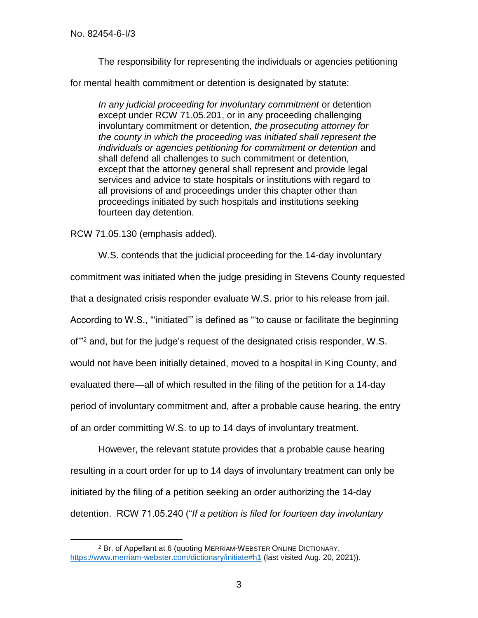$\overline{a}$ 

The responsibility for representing the individuals or agencies petitioning

for mental health commitment or detention is designated by statute:

*In any judicial proceeding for involuntary commitment* or detention except under RCW 71.05.201, or in any proceeding challenging involuntary commitment or detention, *the prosecuting attorney for the county in which the proceeding was initiated shall represent the individuals or agencies petitioning for commitment or detention* and shall defend all challenges to such commitment or detention, except that the attorney general shall represent and provide legal services and advice to state hospitals or institutions with regard to all provisions of and proceedings under this chapter other than proceedings initiated by such hospitals and institutions seeking fourteen day detention.

RCW 71.05.130 (emphasis added).

W.S. contends that the judicial proceeding for the 14-day involuntary

commitment was initiated when the judge presiding in Stevens County requested

that a designated crisis responder evaluate W.S. prior to his release from jail.

According to W.S., "'initiated'" is defined as "'to cause or facilitate the beginning

of'" <sup>2</sup> and, but for the judge's request of the designated crisis responder, W.S.

would not have been initially detained, moved to a hospital in King County, and

evaluated there—all of which resulted in the filing of the petition for a 14-day

period of involuntary commitment and, after a probable cause hearing, the entry

of an order committing W.S. to up to 14 days of involuntary treatment.

However, the relevant statute provides that a probable cause hearing resulting in a court order for up to 14 days of involuntary treatment can only be initiated by the filing of a petition seeking an order authorizing the 14-day detention. RCW 71.05.240 ("*If a petition is filed for fourteen day involuntary* 

<sup>2</sup> Br. of Appellant at 6 (quoting MERRIAM-WEBSTER ONLINE DICTIONARY, <https://www.merriam-webster.com/dictionary/initiate#h1> (last visited Aug. 20, 2021)).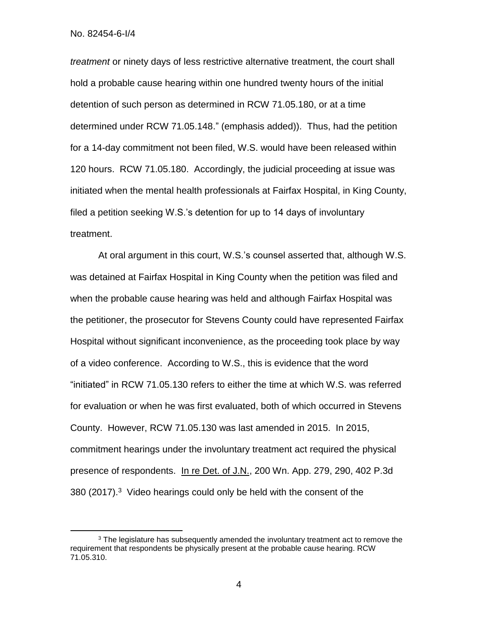No. 82454-6-I/4

 $\overline{a}$ 

*treatment* or ninety days of less restrictive alternative treatment, the court shall hold a probable cause hearing within one hundred twenty hours of the initial detention of such person as determined in RCW 71.05.180, or at a time determined under RCW 71.05.148." (emphasis added)). Thus, had the petition for a 14-day commitment not been filed, W.S. would have been released within 120 hours. RCW 71.05.180. Accordingly, the judicial proceeding at issue was initiated when the mental health professionals at Fairfax Hospital, in King County, filed a petition seeking W.S.'s detention for up to 14 days of involuntary treatment.

At oral argument in this court, W.S.'s counsel asserted that, although W.S. was detained at Fairfax Hospital in King County when the petition was filed and when the probable cause hearing was held and although Fairfax Hospital was the petitioner, the prosecutor for Stevens County could have represented Fairfax Hospital without significant inconvenience, as the proceeding took place by way of a video conference. According to W.S., this is evidence that the word "initiated" in RCW 71.05.130 refers to either the time at which W.S. was referred for evaluation or when he was first evaluated, both of which occurred in Stevens County. However, RCW 71.05.130 was last amended in 2015. In 2015, commitment hearings under the involuntary treatment act required the physical presence of respondents. In re Det. of J.N., 200 Wn. App. 279, 290, 402 P.3d 380 (2017).<sup>3</sup> Video hearings could only be held with the consent of the

4

<sup>&</sup>lt;sup>3</sup> The legislature has subsequently amended the involuntary treatment act to remove the requirement that respondents be physically present at the probable cause hearing. RCW 71.05.310.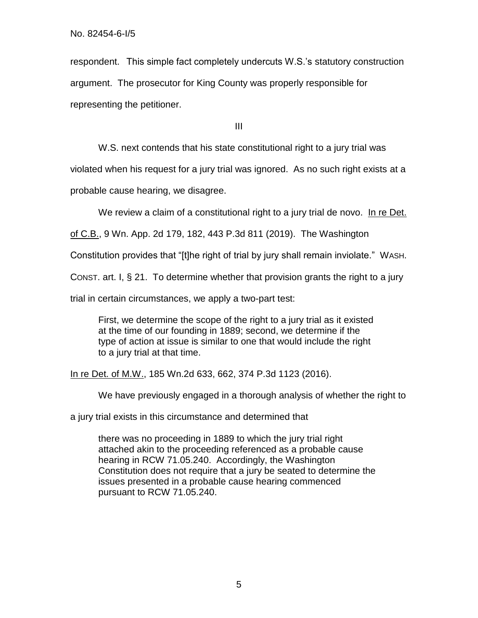respondent. This simple fact completely undercuts W.S.'s statutory construction argument. The prosecutor for King County was properly responsible for representing the petitioner.

III

W.S. next contends that his state constitutional right to a jury trial was

violated when his request for a jury trial was ignored. As no such right exists at a

probable cause hearing, we disagree.

We review a claim of a constitutional right to a jury trial de novo. In re Det.

of C.B., 9 Wn. App. 2d 179, 182, 443 P.3d 811 (2019). The Washington

Constitution provides that "[t]he right of trial by jury shall remain inviolate." WASH.

CONST. art. I, § 21. To determine whether that provision grants the right to a jury

trial in certain circumstances, we apply a two-part test:

First, we determine the scope of the right to a jury trial as it existed at the time of our founding in 1889; second, we determine if the type of action at issue is similar to one that would include the right to a jury trial at that time.

In re Det. of M.W., 185 Wn.2d 633, 662, 374 P.3d 1123 (2016).

We have previously engaged in a thorough analysis of whether the right to

a jury trial exists in this circumstance and determined that

there was no proceeding in 1889 to which the jury trial right attached akin to the proceeding referenced as a probable cause hearing in RCW 71.05.240. Accordingly, the Washington Constitution does not require that a jury be seated to determine the issues presented in a probable cause hearing commenced pursuant to RCW 71.05.240.